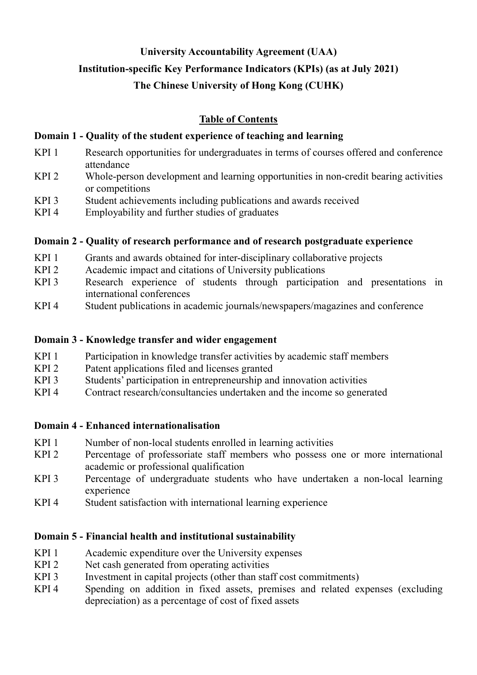## **University Accountability Agreement (UAA)**

### **Institution-specific Key Performance Indicators (KPIs) (as at July 2021)**

## **The Chinese University of Hong Kong (CUHK)**

## **Table of Contents**

#### **Domain 1 - Quality of the student experience of teaching and learning**

- KPI 1 Research opportunities for undergraduates in terms of courses offered and conference attendance
- KPI 2 Whole-person development and learning opportunities in non-credit bearing activities or competitions
- KPI 3 Student achievements including publications and awards received
- KPI 4 Employability and further studies of graduates

#### **Domain 2 - Quality of research performance and of research postgraduate experience**

- KPI 1 Grants and awards obtained for inter-disciplinary collaborative projects<br>KPI 2 Academic impact and citations of University publications
- Academic impact and citations of University publications
- KPI 3 Research experience of students through participation and presentations in international conferences
- KPI 4 Student publications in academic journals/newspapers/magazines and conference

### **Domain 3 - Knowledge transfer and wider engagement**

- KPI 1 Participation in knowledge transfer activities by academic staff members<br>KPI 2 Patent applications filed and licenses granted
- Patent applications filed and licenses granted
- KPI 3 Students' participation in entrepreneurship and innovation activities
- KPI 4 Contract research/consultancies undertaken and the income so generated

#### **Domain 4 - Enhanced internationalisation**

- KPI 1 Number of non-local students enrolled in learning activities
- KPI 2 Percentage of professoriate staff members who possess one or more international academic or professional qualification
- KPI 3 Percentage of undergraduate students who have undertaken a non-local learning experience
- KPI 4 Student satisfaction with international learning experience

## **Domain 5 - Financial health and institutional sustainability**

- KPI 1 Academic expenditure over the University expenses
- KPI 2 Net cash generated from operating activities
- KPI 3 Investment in capital projects (other than staff cost commitments)
- KPI 4 Spending on addition in fixed assets, premises and related expenses (excluding depreciation) as a percentage of cost of fixed assets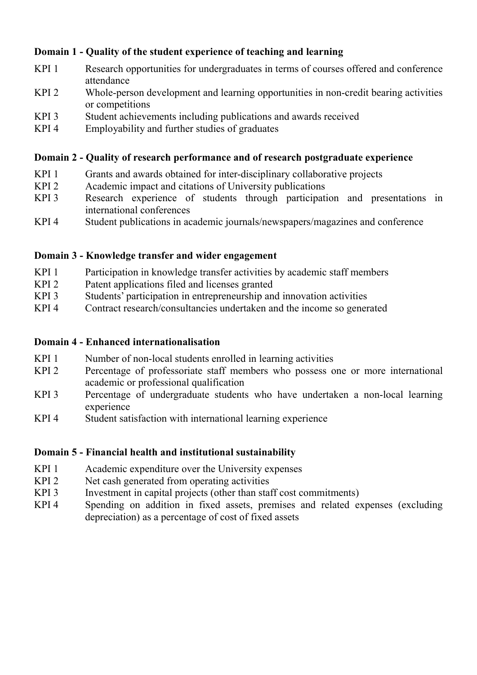## **Domain 1 - Quality of the student experience of teaching and learning**

- KPI 1 Research opportunities for undergraduates in terms of courses offered and conference attendance
- KPI 2 Whole-person development and learning opportunities in non-credit bearing activities or competitions
- KPI 3 Student achievements including publications and awards received
- KPI 4 Employability and further studies of graduates

#### **Domain 2 - Quality of research performance and of research postgraduate experience**

- KPI 1 Grants and awards obtained for inter-disciplinary collaborative projects
- KPI 2 Academic impact and citations of University publications<br>KPI 3 Research experience of students through participati
- Research experience of students through participation and presentations in international conferences
- KPI 4 Student publications in academic journals/newspapers/magazines and conference

#### **Domain 3 - Knowledge transfer and wider engagement**

- KPI 1 Participation in knowledge transfer activities by academic staff members
- KPI 2 Patent applications filed and licenses granted
- KPI 3 Students' participation in entrepreneurship and innovation activities
- KPI 4 Contract research/consultancies undertaken and the income so generated

#### **Domain 4 - Enhanced internationalisation**

- KPI 1 Number of non-local students enrolled in learning activities
- KPI 2 Percentage of professoriate staff members who possess one or more international academic or professional qualification
- KPI 3 Percentage of undergraduate students who have undertaken a non-local learning experience
- KPI 4 Student satisfaction with international learning experience

## **Domain 5 - Financial health and institutional sustainability**

- KPI 1 Academic expenditure over the University expenses
- KPI 2 Net cash generated from operating activities
- KPI 3 Investment in capital projects (other than staff cost commitments)
- KPI 4 Spending on addition in fixed assets, premises and related expenses (excluding depreciation) as a percentage of cost of fixed assets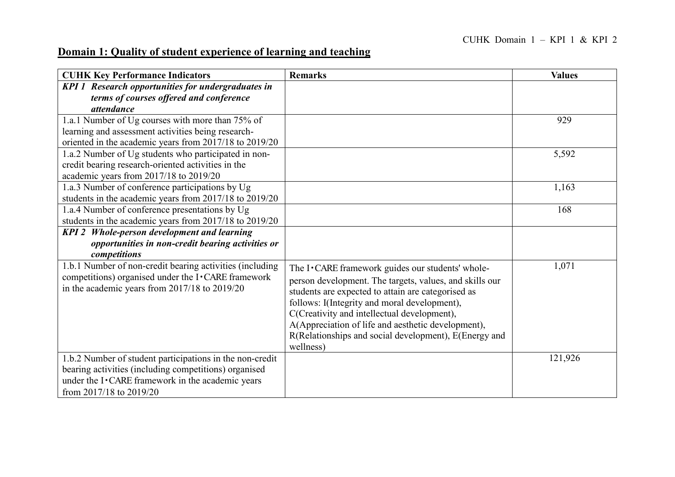# **Domain 1: Quality of student experience of learning and teaching**

| <b>CUHK Key Performance Indicators</b>                    | <b>Remarks</b>                                          | <b>Values</b> |
|-----------------------------------------------------------|---------------------------------------------------------|---------------|
| <b>KPI 1 Research opportunities for undergraduates in</b> |                                                         |               |
| terms of courses offered and conference                   |                                                         |               |
| attendance                                                |                                                         |               |
| 1.a.1 Number of Ug courses with more than 75% of          |                                                         | 929           |
| learning and assessment activities being research-        |                                                         |               |
| oriented in the academic years from 2017/18 to 2019/20    |                                                         |               |
| 1.a.2 Number of Ug students who participated in non-      |                                                         | 5,592         |
| credit bearing research-oriented activities in the        |                                                         |               |
| academic years from 2017/18 to 2019/20                    |                                                         |               |
| 1.a.3 Number of conference participations by Ug           |                                                         | 1,163         |
| students in the academic years from 2017/18 to 2019/20    |                                                         |               |
| 1.a.4 Number of conference presentations by Ug            |                                                         | 168           |
| students in the academic years from 2017/18 to 2019/20    |                                                         |               |
| KPI 2 Whole-person development and learning               |                                                         |               |
| opportunities in non-credit bearing activities or         |                                                         |               |
| competitions                                              |                                                         |               |
| 1.b.1 Number of non-credit bearing activities (including  | The I · CARE framework guides our students' whole-      | 1,071         |
| competitions) organised under the I · CARE framework      | person development. The targets, values, and skills our |               |
| in the academic years from 2017/18 to 2019/20             | students are expected to attain are categorised as      |               |
|                                                           | follows: I(Integrity and moral development),            |               |
|                                                           | C(Creativity and intellectual development),             |               |
|                                                           | A(Appreciation of life and aesthetic development),      |               |
|                                                           | R(Relationships and social development), E(Energy and   |               |
|                                                           | wellness)                                               |               |
| 1.b.2 Number of student participations in the non-credit  |                                                         | 121,926       |
| bearing activities (including competitions) organised     |                                                         |               |
| under the I · CARE framework in the academic years        |                                                         |               |
| from 2017/18 to 2019/20                                   |                                                         |               |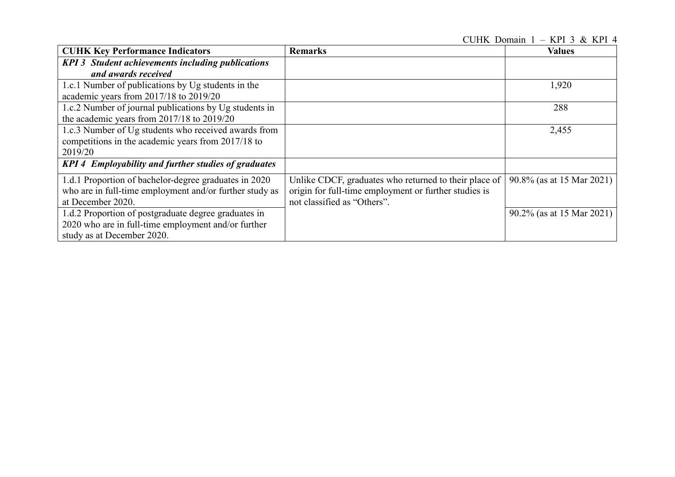CUHK Domain 1 – KPI 3 & KPI 4

| <b>CUHK Key Performance Indicators</b>                                                                                                    | <b>Remarks</b>                                                                                                                                | <b>Values</b>             |
|-------------------------------------------------------------------------------------------------------------------------------------------|-----------------------------------------------------------------------------------------------------------------------------------------------|---------------------------|
| <b>KPI 3</b> Student achievements including publications<br>and awards received                                                           |                                                                                                                                               |                           |
| 1.c.1 Number of publications by Ug students in the<br>academic years from 2017/18 to 2019/20                                              |                                                                                                                                               | 1,920                     |
| 1.c.2 Number of journal publications by Ug students in<br>the academic years from $2017/18$ to $2019/20$                                  |                                                                                                                                               | 288                       |
| 1.c.3 Number of Ug students who received awards from<br>competitions in the academic years from 2017/18 to<br>2019/20                     |                                                                                                                                               | 2,455                     |
| KPI 4 Employability and further studies of graduates                                                                                      |                                                                                                                                               |                           |
| 1.d.1 Proportion of bachelor-degree graduates in 2020<br>who are in full-time employment and/or further study as<br>at December 2020.     | Unlike CDCF, graduates who returned to their place of<br>origin for full-time employment or further studies is<br>not classified as "Others". | 90.8% (as at 15 Mar 2021) |
| 1.d.2 Proportion of postgraduate degree graduates in<br>2020 who are in full-time employment and/or further<br>study as at December 2020. |                                                                                                                                               | 90.2% (as at 15 Mar 2021) |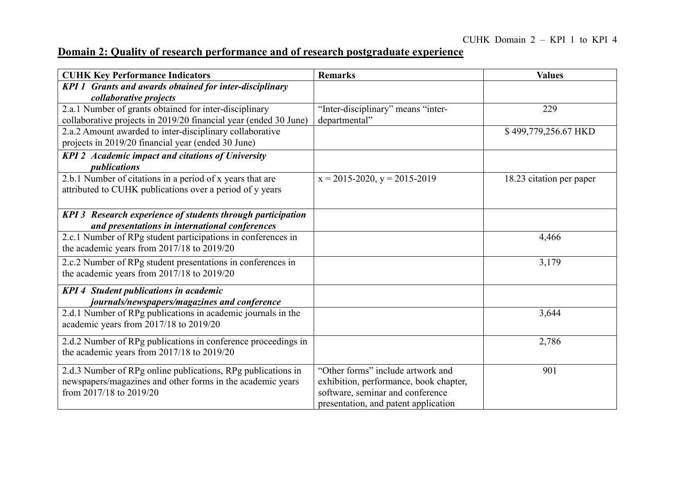# **Domain 2: Quality of research performance and of research postgraduate experience**

| <b>CUHK Key Performance Indicators</b>                                                                                                                | <b>Remarks</b>                                                                                                                                          | <b>Values</b>            |
|-------------------------------------------------------------------------------------------------------------------------------------------------------|---------------------------------------------------------------------------------------------------------------------------------------------------------|--------------------------|
| <b>KPI 1 Grants and awards obtained for inter-disciplinary</b><br>collaborative projects                                                              |                                                                                                                                                         |                          |
| 2.a.1 Number of grants obtained for inter-disciplinary<br>collaborative projects in 2019/20 financial year (ended 30 June)                            | "Inter-disciplinary" means "inter-<br>departmental"                                                                                                     | 229                      |
| 2.a.2 Amount awarded to inter-disciplinary collaborative<br>projects in 2019/20 financial year (ended 30 June)                                        |                                                                                                                                                         | \$499,779,256.67 HKD     |
| <b>KPI 2</b> Academic impact and citations of University<br>publications                                                                              |                                                                                                                                                         |                          |
| 2.b.1 Number of citations in a period of x years that are<br>attributed to CUHK publications over a period of y years                                 | $x = 2015 - 2020$ , $y = 2015 - 2019$                                                                                                                   | 18.23 citation per paper |
| KPI 3 Research experience of students through participation<br>and presentations in international conferences                                         |                                                                                                                                                         |                          |
| 2.c.1 Number of RPg student participations in conferences in<br>the academic years from $2017/18$ to $2019/20$                                        |                                                                                                                                                         | 4,466                    |
| 2.c.2 Number of RPg student presentations in conferences in<br>the academic years from $2017/18$ to $2019/20$                                         |                                                                                                                                                         | 3,179                    |
| <b>KPI 4 Student publications in academic</b><br>journals/newspapers/magazines and conference                                                         |                                                                                                                                                         |                          |
| 2.d.1 Number of RPg publications in academic journals in the<br>academic years from 2017/18 to 2019/20                                                |                                                                                                                                                         | 3,644                    |
| 2.d.2 Number of RPg publications in conference proceedings in<br>the academic years from $2017/18$ to $2019/20$                                       |                                                                                                                                                         | 2,786                    |
| 2.d.3 Number of RPg online publications, RPg publications in<br>newspapers/magazines and other forms in the academic years<br>from 2017/18 to 2019/20 | "Other forms" include artwork and<br>exhibition, performance, book chapter,<br>software, seminar and conference<br>presentation, and patent application | 901                      |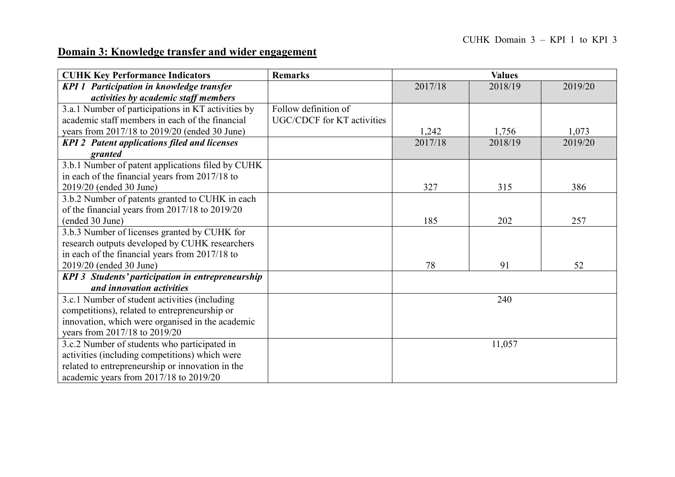## **Domain 3: Knowledge transfer and wider engagement**

| <b>CUHK Key Performance Indicators</b>                   | <b>Remarks</b>             | <b>Values</b> |         |         |
|----------------------------------------------------------|----------------------------|---------------|---------|---------|
| <b>KPI 1 Participation in knowledge transfer</b>         |                            | 2017/18       | 2018/19 | 2019/20 |
| activities by academic staff members                     |                            |               |         |         |
| 3.a.1 Number of participations in KT activities by       | Follow definition of       |               |         |         |
| academic staff members in each of the financial          | UGC/CDCF for KT activities |               |         |         |
| years from 2017/18 to 2019/20 (ended 30 June)            |                            | 1,242         | 1,756   | 1,073   |
| <b>KPI 2</b> Patent applications filed and licenses      |                            | 2017/18       | 2018/19 | 2019/20 |
| granted                                                  |                            |               |         |         |
| 3.b.1 Number of patent applications filed by CUHK        |                            |               |         |         |
| in each of the financial years from 2017/18 to           |                            |               |         |         |
| 2019/20 (ended 30 June)                                  |                            | 327           | 315     | 386     |
| 3.b.2 Number of patents granted to CUHK in each          |                            |               |         |         |
| of the financial years from 2017/18 to 2019/20           |                            |               |         |         |
| (ended 30 June)                                          |                            | 185           | 202     | 257     |
| 3.b.3 Number of licenses granted by CUHK for             |                            |               |         |         |
| research outputs developed by CUHK researchers           |                            |               |         |         |
| in each of the financial years from 2017/18 to           |                            |               |         |         |
| 2019/20 (ended 30 June)                                  |                            | 78            | 91      | 52      |
| <b>KPI 3 Students' participation in entrepreneurship</b> |                            |               |         |         |
| and innovation activities                                |                            |               |         |         |
| 3.c.1 Number of student activities (including            |                            |               | 240     |         |
| competitions), related to entrepreneurship or            |                            |               |         |         |
| innovation, which were organised in the academic         |                            |               |         |         |
| years from 2017/18 to 2019/20                            |                            |               |         |         |
| 3.c.2 Number of students who participated in             |                            |               | 11,057  |         |
| activities (including competitions) which were           |                            |               |         |         |
| related to entrepreneurship or innovation in the         |                            |               |         |         |
| academic years from 2017/18 to 2019/20                   |                            |               |         |         |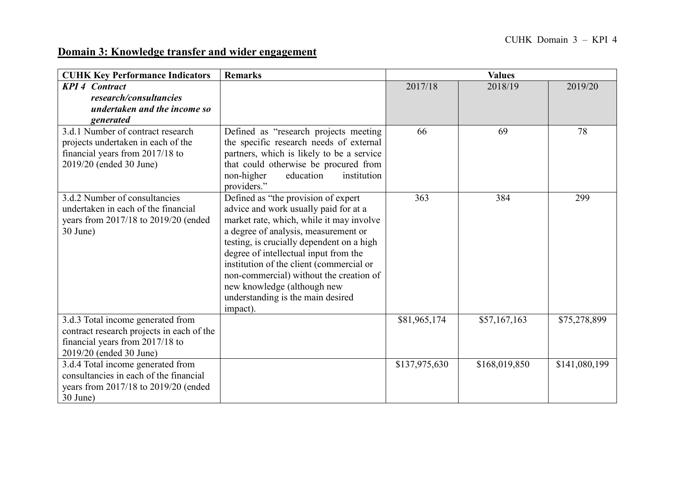## **Domain 3: Knowledge transfer and wider engagement**

| <b>CUHK Key Performance Indicators</b>                                                                                                       | <b>Remarks</b>                                                                                                                                                                                                                                                                                                                                                                                                                | <b>Values</b> |               |               |
|----------------------------------------------------------------------------------------------------------------------------------------------|-------------------------------------------------------------------------------------------------------------------------------------------------------------------------------------------------------------------------------------------------------------------------------------------------------------------------------------------------------------------------------------------------------------------------------|---------------|---------------|---------------|
| <b>KPI 4 Contract</b><br>research/consultancies                                                                                              |                                                                                                                                                                                                                                                                                                                                                                                                                               | 2017/18       | 2018/19       | 2019/20       |
| undertaken and the income so<br>generated                                                                                                    |                                                                                                                                                                                                                                                                                                                                                                                                                               |               |               |               |
| 3.d.1 Number of contract research<br>projects undertaken in each of the<br>financial years from 2017/18 to<br>2019/20 (ended 30 June)        | Defined as "research projects meeting<br>the specific research needs of external<br>partners, which is likely to be a service<br>that could otherwise be procured from<br>non-higher<br>education<br>institution<br>providers."                                                                                                                                                                                               | 66            | 69            | 78            |
| 3.d.2 Number of consultancies<br>undertaken in each of the financial<br>years from 2017/18 to 2019/20 (ended<br>30 June)                     | Defined as "the provision of expert<br>advice and work usually paid for at a<br>market rate, which, while it may involve<br>a degree of analysis, measurement or<br>testing, is crucially dependent on a high<br>degree of intellectual input from the<br>institution of the client (commercial or<br>non-commercial) without the creation of<br>new knowledge (although new<br>understanding is the main desired<br>impact). | 363           | 384           | 299           |
| 3.d.3 Total income generated from<br>contract research projects in each of the<br>financial years from 2017/18 to<br>2019/20 (ended 30 June) |                                                                                                                                                                                                                                                                                                                                                                                                                               | \$81,965,174  | \$57,167,163  | \$75,278,899  |
| 3.d.4 Total income generated from<br>consultancies in each of the financial<br>years from 2017/18 to 2019/20 (ended<br>30 June)              |                                                                                                                                                                                                                                                                                                                                                                                                                               | \$137,975,630 | \$168,019,850 | \$141,080,199 |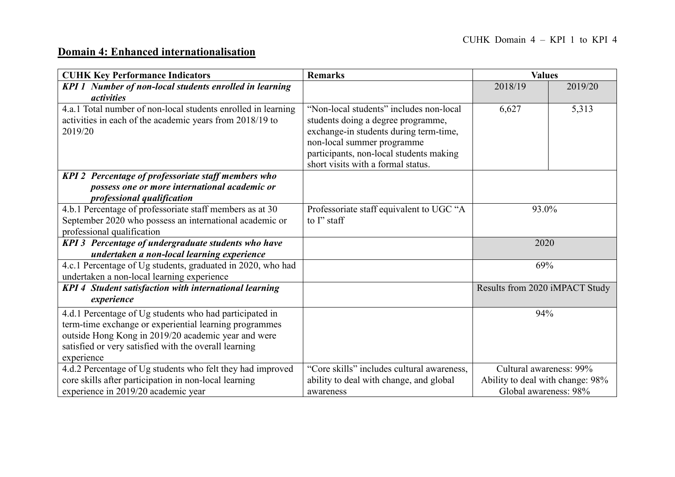## **Domain 4: Enhanced internationalisation**

| <b>CUHK Key Performance Indicators</b>                        | <b>Remarks</b>                             | <b>Values</b>                    |         |
|---------------------------------------------------------------|--------------------------------------------|----------------------------------|---------|
| KPI 1 Number of non-local students enrolled in learning       |                                            | 2018/19                          | 2019/20 |
| activities                                                    |                                            |                                  |         |
| 4.a.1 Total number of non-local students enrolled in learning | "Non-local students" includes non-local    | 6,627                            | 5,313   |
| activities in each of the academic years from 2018/19 to      | students doing a degree programme,         |                                  |         |
| 2019/20                                                       | exchange-in students during term-time,     |                                  |         |
|                                                               | non-local summer programme                 |                                  |         |
|                                                               | participants, non-local students making    |                                  |         |
|                                                               | short visits with a formal status.         |                                  |         |
| KPI 2 Percentage of professoriate staff members who           |                                            |                                  |         |
| possess one or more international academic or                 |                                            |                                  |         |
| professional qualification                                    |                                            |                                  |         |
| 4.b.1 Percentage of professoriate staff members as at 30      | Professoriate staff equivalent to UGC "A   | 93.0%                            |         |
| September 2020 who possess an international academic or       | to I" staff                                |                                  |         |
| professional qualification                                    |                                            |                                  |         |
| KPI 3 Percentage of undergraduate students who have           |                                            | 2020                             |         |
| undertaken a non-local learning experience                    |                                            |                                  |         |
| 4.c.1 Percentage of Ug students, graduated in 2020, who had   |                                            | 69%                              |         |
| undertaken a non-local learning experience                    |                                            |                                  |         |
| <b>KPI 4 Student satisfaction with international learning</b> |                                            | Results from 2020 iMPACT Study   |         |
| experience                                                    |                                            |                                  |         |
| 4.d.1 Percentage of Ug students who had participated in       |                                            | 94%                              |         |
| term-time exchange or experiential learning programmes        |                                            |                                  |         |
| outside Hong Kong in 2019/20 academic year and were           |                                            |                                  |         |
| satisfied or very satisfied with the overall learning         |                                            |                                  |         |
| experience                                                    |                                            |                                  |         |
| 4.d.2 Percentage of Ug students who felt they had improved    | "Core skills" includes cultural awareness, | Cultural awareness: 99%          |         |
| core skills after participation in non-local learning         | ability to deal with change, and global    | Ability to deal with change: 98% |         |
| experience in 2019/20 academic year                           | awareness                                  | Global awareness: 98%            |         |